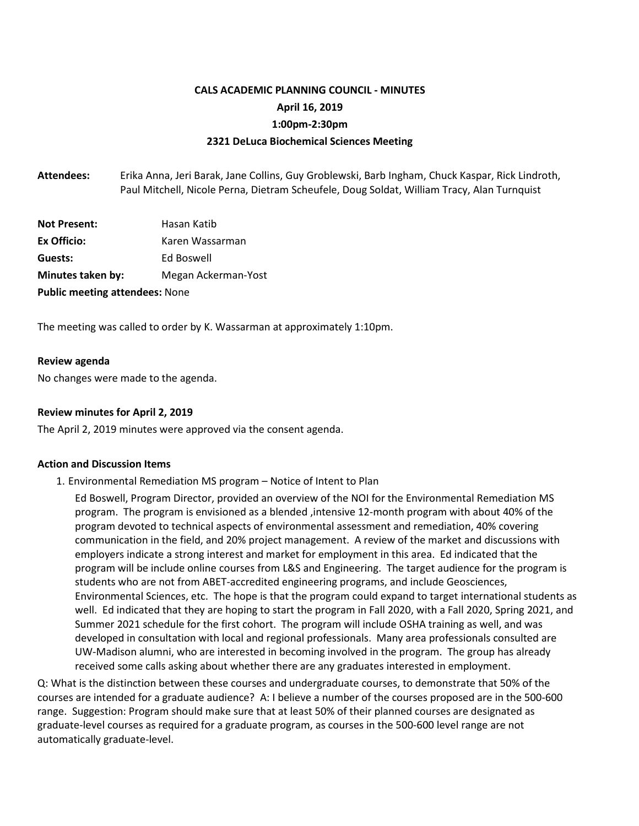# **CALS ACADEMIC PLANNING COUNCIL - MINUTES April 16, 2019 1:00pm-2:30pm 2321 DeLuca Biochemical Sciences Meeting**

**Attendees:** Erika Anna, Jeri Barak, Jane Collins, Guy Groblewski, Barb Ingham, Chuck Kaspar, Rick Lindroth, Paul Mitchell, Nicole Perna, Dietram Scheufele, Doug Soldat, William Tracy, Alan Turnquist

| <b>Not Present:</b>                   | Hasan Katib         |
|---------------------------------------|---------------------|
| Ex Officio:                           | Karen Wassarman     |
| Guests:                               | Ed Boswell          |
| Minutes taken by:                     | Megan Ackerman-Yost |
| <b>Public meeting attendees: None</b> |                     |

The meeting was called to order by K. Wassarman at approximately 1:10pm.

### **Review agenda**

No changes were made to the agenda.

### **Review minutes for April 2, 2019**

The April 2, 2019 minutes were approved via the consent agenda.

#### **Action and Discussion Items**

1. Environmental Remediation MS program – Notice of Intent to Plan

Ed Boswell, Program Director, provided an overview of the NOI for the Environmental Remediation MS program. The program is envisioned as a blended ,intensive 12-month program with about 40% of the program devoted to technical aspects of environmental assessment and remediation, 40% covering communication in the field, and 20% project management. A review of the market and discussions with employers indicate a strong interest and market for employment in this area. Ed indicated that the program will be include online courses from L&S and Engineering. The target audience for the program is students who are not from ABET-accredited engineering programs, and include Geosciences, Environmental Sciences, etc. The hope is that the program could expand to target international students as well. Ed indicated that they are hoping to start the program in Fall 2020, with a Fall 2020, Spring 2021, and Summer 2021 schedule for the first cohort. The program will include OSHA training as well, and was developed in consultation with local and regional professionals. Many area professionals consulted are UW-Madison alumni, who are interested in becoming involved in the program. The group has already received some calls asking about whether there are any graduates interested in employment.

Q: What is the distinction between these courses and undergraduate courses, to demonstrate that 50% of the courses are intended for a graduate audience? A: I believe a number of the courses proposed are in the 500-600 range. Suggestion: Program should make sure that at least 50% of their planned courses are designated as graduate-level courses as required for a graduate program, as courses in the 500-600 level range are not automatically graduate-level.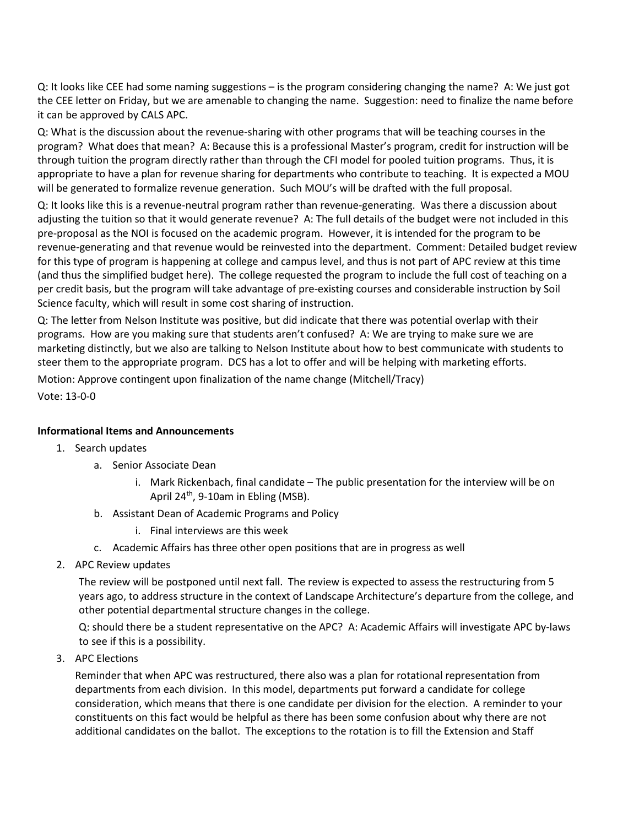Q: It looks like CEE had some naming suggestions – is the program considering changing the name? A: We just got the CEE letter on Friday, but we are amenable to changing the name. Suggestion: need to finalize the name before it can be approved by CALS APC.

Q: What is the discussion about the revenue-sharing with other programs that will be teaching courses in the program? What does that mean? A: Because this is a professional Master's program, credit for instruction will be through tuition the program directly rather than through the CFI model for pooled tuition programs. Thus, it is appropriate to have a plan for revenue sharing for departments who contribute to teaching. It is expected a MOU will be generated to formalize revenue generation. Such MOU's will be drafted with the full proposal.

Q: It looks like this is a revenue-neutral program rather than revenue-generating. Was there a discussion about adjusting the tuition so that it would generate revenue? A: The full details of the budget were not included in this pre-proposal as the NOI is focused on the academic program. However, it is intended for the program to be revenue-generating and that revenue would be reinvested into the department. Comment: Detailed budget review for this type of program is happening at college and campus level, and thus is not part of APC review at this time (and thus the simplified budget here). The college requested the program to include the full cost of teaching on a per credit basis, but the program will take advantage of pre-existing courses and considerable instruction by Soil Science faculty, which will result in some cost sharing of instruction.

Q: The letter from Nelson Institute was positive, but did indicate that there was potential overlap with their programs. How are you making sure that students aren't confused? A: We are trying to make sure we are marketing distinctly, but we also are talking to Nelson Institute about how to best communicate with students to steer them to the appropriate program. DCS has a lot to offer and will be helping with marketing efforts.

Motion: Approve contingent upon finalization of the name change (Mitchell/Tracy)

Vote: 13-0-0

## **Informational Items and Announcements**

- 1. Search updates
	- a. Senior Associate Dean
		- i. Mark Rickenbach, final candidate The public presentation for the interview will be on April  $24^{th}$ , 9-10am in Ebling (MSB).
	- b. Assistant Dean of Academic Programs and Policy
		- i. Final interviews are this week
	- c. Academic Affairs has three other open positions that are in progress as well
- 2. APC Review updates

The review will be postponed until next fall. The review is expected to assess the restructuring from 5 years ago, to address structure in the context of Landscape Architecture's departure from the college, and other potential departmental structure changes in the college.

Q: should there be a student representative on the APC? A: Academic Affairs will investigate APC by-laws to see if this is a possibility.

3. APC Elections

Reminder that when APC was restructured, there also was a plan for rotational representation from departments from each division. In this model, departments put forward a candidate for college consideration, which means that there is one candidate per division for the election. A reminder to your constituents on this fact would be helpful as there has been some confusion about why there are not additional candidates on the ballot. The exceptions to the rotation is to fill the Extension and Staff